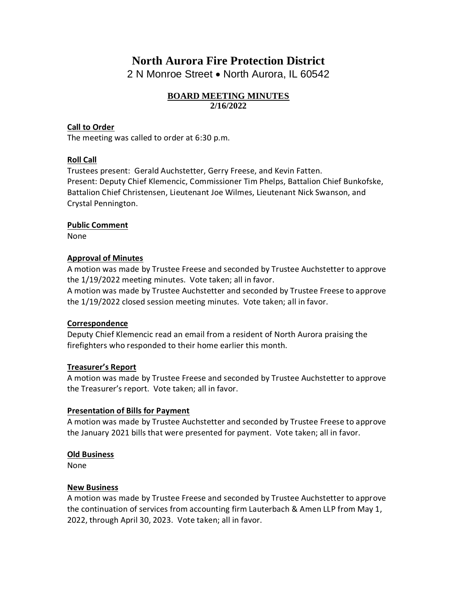# **North Aurora Fire Protection District**

2 N Monroe Street • North Aurora, IL 60542

#### **BOARD MEETING MINUTES 2/16/2022**

#### **Call to Order**

The meeting was called to order at 6:30 p.m.

## **Roll Call**

Trustees present: Gerald Auchstetter, Gerry Freese, and Kevin Fatten. Present: Deputy Chief Klemencic, Commissioner Tim Phelps, Battalion Chief Bunkofske, Battalion Chief Christensen, Lieutenant Joe Wilmes, Lieutenant Nick Swanson, and Crystal Pennington.

#### **Public Comment**

None

#### **Approval of Minutes**

A motion was made by Trustee Freese and seconded by Trustee Auchstetter to approve the 1/19/2022 meeting minutes. Vote taken; all in favor.

A motion was made by Trustee Auchstetter and seconded by Trustee Freese to approve the 1/19/2022 closed session meeting minutes. Vote taken; all in favor.

#### **Correspondence**

Deputy Chief Klemencic read an email from a resident of North Aurora praising the firefighters who responded to their home earlier this month.

## **Treasurer's Report**

A motion was made by Trustee Freese and seconded by Trustee Auchstetter to approve the Treasurer's report. Vote taken; all in favor.

#### **Presentation of Bills for Payment**

A motion was made by Trustee Auchstetter and seconded by Trustee Freese to approve the January 2021 bills that were presented for payment. Vote taken; all in favor.

#### **Old Business**

None

## **New Business**

A motion was made by Trustee Freese and seconded by Trustee Auchstetter to approve the continuation of services from accounting firm Lauterbach & Amen LLP from May 1, 2022, through April 30, 2023. Vote taken; all in favor.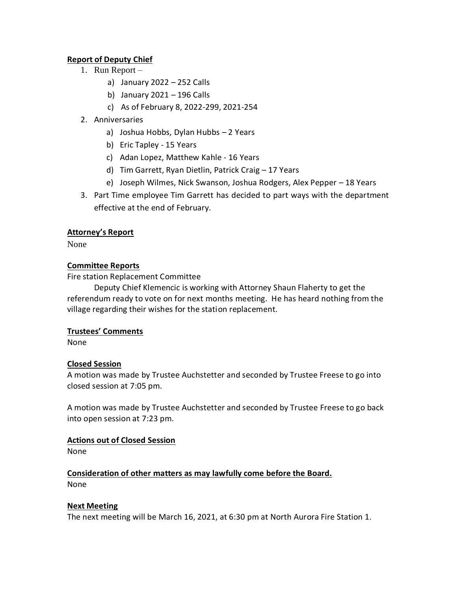## **Report of Deputy Chief**

- 1. Run Report
	- a) January 2022 252 Calls
	- b) January 2021 196 Calls
	- c) As of February 8, 2022-299, 2021-254
- 2. Anniversaries
	- a) Joshua Hobbs, Dylan Hubbs 2 Years
	- b) Eric Tapley 15 Years
	- c) Adan Lopez, Matthew Kahle 16 Years
	- d) Tim Garrett, Ryan Dietlin, Patrick Craig 17 Years
	- e) Joseph Wilmes, Nick Swanson, Joshua Rodgers, Alex Pepper 18 Years
- 3. Part Time employee Tim Garrett has decided to part ways with the department effective at the end of February.

## **Attorney's Report**

None

## **Committee Reports**

Fire station Replacement Committee

Deputy Chief Klemencic is working with Attorney Shaun Flaherty to get the referendum ready to vote on for next months meeting. He has heard nothing from the village regarding their wishes for the station replacement.

## **Trustees' Comments**

None

## **Closed Session**

A motion was made by Trustee Auchstetter and seconded by Trustee Freese to go into closed session at 7:05 pm.

A motion was made by Trustee Auchstetter and seconded by Trustee Freese to go back into open session at 7:23 pm.

## **Actions out of Closed Session**

None

# **Consideration of other matters as may lawfully come before the Board.**

None

## **Next Meeting**

The next meeting will be March 16, 2021, at 6:30 pm at North Aurora Fire Station 1.